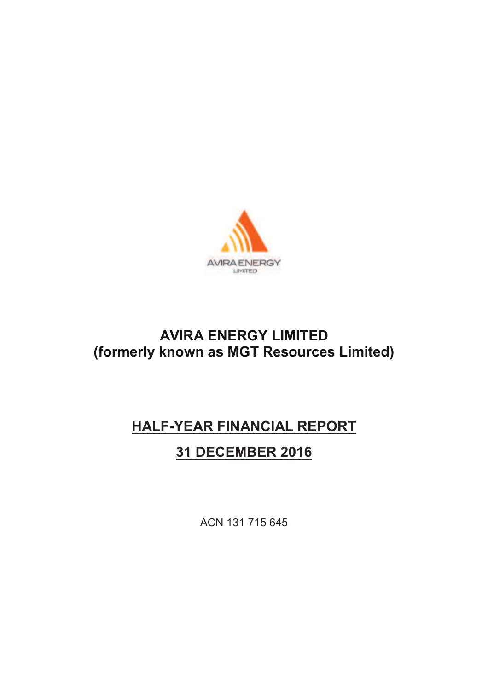

# **AVIRA ENERGY LIMITED (formerly known as MGT Resources Limited)**

# **HALF-YEAR FINANCIAL REPORT**

# **31 DECEMBER 2016**

ACN 131 715 645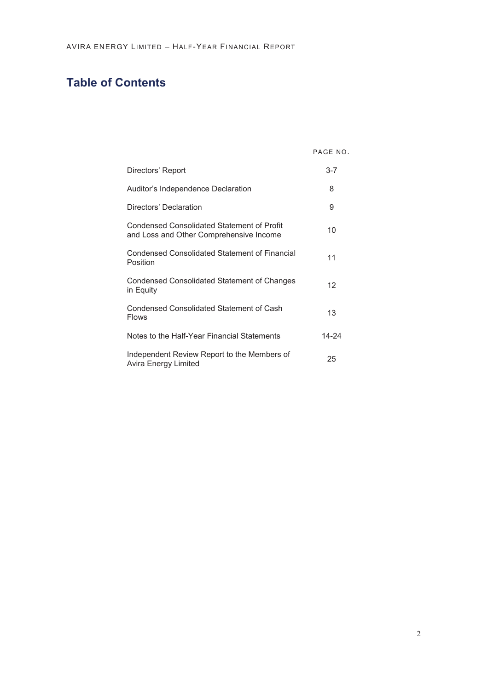# **Table of Contents**

PAGE NO.

| Directors' Report                                                                            | $3 - 7$ |
|----------------------------------------------------------------------------------------------|---------|
| Auditor's Independence Declaration                                                           | 8       |
| Directors' Declaration                                                                       | 9       |
| <b>Condensed Consolidated Statement of Profit</b><br>and Loss and Other Comprehensive Income | 10      |
| <b>Condensed Consolidated Statement of Financial</b><br>Position                             | 11      |
| <b>Condensed Consolidated Statement of Changes</b><br>in Equity                              | 12      |
| Condensed Consolidated Statement of Cash<br><b>Flows</b>                                     | 13      |
| Notes to the Half-Year Financial Statements                                                  | 14-24   |
| Independent Review Report to the Members of<br>Avira Energy Limited                          | 25      |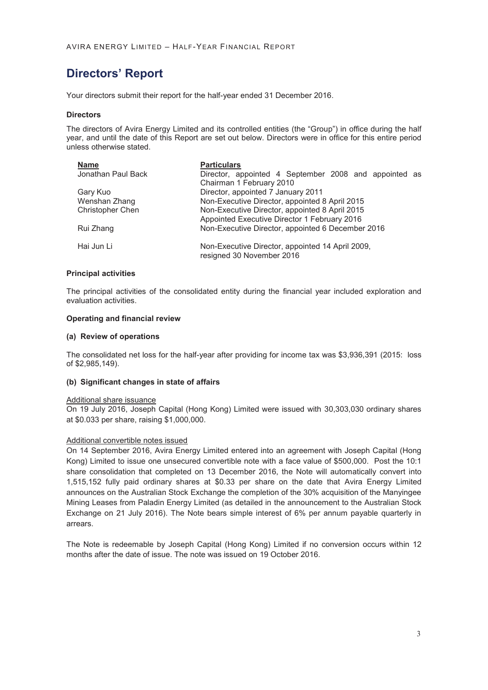Your directors submit their report for the half-year ended 31 December 2016.

#### **Directors**

The directors of Avira Energy Limited and its controlled entities (the "Group") in office during the half year, and until the date of this Report are set out below. Directors were in office for this entire period unless otherwise stated.

| <b>Name</b>        | <b>Particulars</b>                                    |
|--------------------|-------------------------------------------------------|
| Jonathan Paul Back | Director, appointed 4 September 2008 and appointed as |
|                    | Chairman 1 February 2010                              |
| Gary Kuo           | Director, appointed 7 January 2011                    |
| Wenshan Zhang      | Non-Executive Director, appointed 8 April 2015        |
| Christopher Chen   | Non-Executive Director, appointed 8 April 2015        |
|                    | Appointed Executive Director 1 February 2016          |
| Rui Zhang          | Non-Executive Director, appointed 6 December 2016     |
|                    |                                                       |
| Hai Jun Li         | Non-Executive Director, appointed 14 April 2009,      |
|                    | resigned 30 November 2016                             |
|                    |                                                       |

#### **Principal activities**

The principal activities of the consolidated entity during the financial year included exploration and evaluation activities.

#### **Operating and financial review**

#### **(a) Review of operations**

The consolidated net loss for the half-year after providing for income tax was \$3,936,391 (2015: loss of \$2,985,149).

#### **(b) Significant changes in state of affairs**

#### Additional share issuance

On 19 July 2016, Joseph Capital (Hong Kong) Limited were issued with 30,303,030 ordinary shares at \$0.033 per share, raising \$1,000,000.

#### Additional convertible notes issued

On 14 September 2016, Avira Energy Limited entered into an agreement with Joseph Capital (Hong Kong) Limited to issue one unsecured convertible note with a face value of \$500,000. Post the 10:1 share consolidation that completed on 13 December 2016, the Note will automatically convert into 1,515,152 fully paid ordinary shares at \$0.33 per share on the date that Avira Energy Limited announces on the Australian Stock Exchange the completion of the 30% acquisition of the Manyingee Mining Leases from Paladin Energy Limited (as detailed in the announcement to the Australian Stock Exchange on 21 July 2016). The Note bears simple interest of 6% per annum payable quarterly in arrears.

The Note is redeemable by Joseph Capital (Hong Kong) Limited if no conversion occurs within 12 months after the date of issue. The note was issued on 19 October 2016.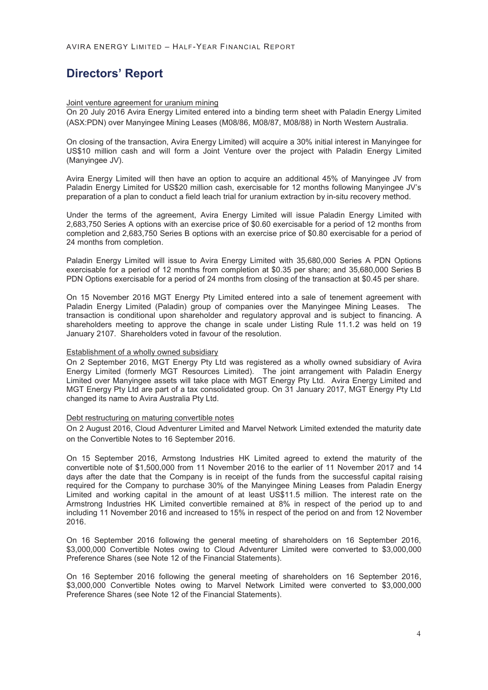#### Joint venture agreement for uranium mining

On 20 July 2016 Avira Energy Limited entered into a binding term sheet with Paladin Energy Limited (ASX:PDN) over Manyingee Mining Leases (M08/86, M08/87, M08/88) in North Western Australia.

On closing of the transaction, Avira Energy Limited) will acquire a 30% initial interest in Manyingee for US\$10 million cash and will form a Joint Venture over the project with Paladin Energy Limited (Manyingee JV).

Avira Energy Limited will then have an option to acquire an additional 45% of Manyingee JV from Paladin Energy Limited for US\$20 million cash, exercisable for 12 months following Manyingee JV's preparation of a plan to conduct a field leach trial for uranium extraction by in-situ recovery method.

Under the terms of the agreement, Avira Energy Limited will issue Paladin Energy Limited with 2,683,750 Series A options with an exercise price of \$0.60 exercisable for a period of 12 months from completion and 2,683,750 Series B options with an exercise price of \$0.80 exercisable for a period of 24 months from completion.

Paladin Energy Limited will issue to Avira Energy Limited with 35,680,000 Series A PDN Options exercisable for a period of 12 months from completion at \$0.35 per share; and 35,680,000 Series B PDN Options exercisable for a period of 24 months from closing of the transaction at \$0.45 per share.

On 15 November 2016 MGT Energy Pty Limited entered into a sale of tenement agreement with Paladin Energy Limited (Paladin) group of companies over the Manyingee Mining Leases. The transaction is conditional upon shareholder and regulatory approval and is subject to financing. A shareholders meeting to approve the change in scale under Listing Rule 11.1.2 was held on 19 January 2107. Shareholders voted in favour of the resolution.

#### Establishment of a wholly owned subsidiary

On 2 September 2016, MGT Energy Pty Ltd was registered as a wholly owned subsidiary of Avira Energy Limited (formerly MGT Resources Limited). The joint arrangement with Paladin Energy Limited over Manyingee assets will take place with MGT Energy Pty Ltd. Avira Energy Limited and MGT Energy Pty Ltd are part of a tax consolidated group. On 31 January 2017, MGT Energy Pty Ltd changed its name to Avira Australia Pty Ltd.

#### Debt restructuring on maturing convertible notes

On 2 August 2016, Cloud Adventurer Limited and Marvel Network Limited extended the maturity date on the Convertible Notes to 16 September 2016.

On 15 September 2016, Armstong Industries HK Limited agreed to extend the maturity of the convertible note of \$1,500,000 from 11 November 2016 to the earlier of 11 November 2017 and 14 days after the date that the Company is in receipt of the funds from the successful capital raising required for the Company to purchase 30% of the Manyingee Mining Leases from Paladin Energy Limited and working capital in the amount of at least US\$11.5 million. The interest rate on the Armstrong Industries HK Limited convertible remained at 8% in respect of the period up to and including 11 November 2016 and increased to 15% in respect of the period on and from 12 November 2016.

On 16 September 2016 following the general meeting of shareholders on 16 September 2016, \$3,000,000 Convertible Notes owing to Cloud Adventurer Limited were converted to \$3,000,000 Preference Shares (see Note 12 of the Financial Statements).

On 16 September 2016 following the general meeting of shareholders on 16 September 2016, \$3,000,000 Convertible Notes owing to Marvel Network Limited were converted to \$3,000,000 Preference Shares (see Note 12 of the Financial Statements).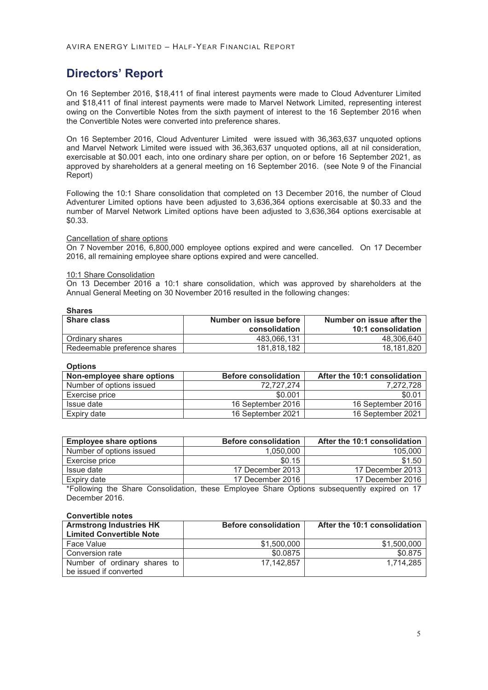On 16 September 2016, \$18,411 of final interest payments were made to Cloud Adventurer Limited and \$18,411 of final interest payments were made to Marvel Network Limited, representing interest owing on the Convertible Notes from the sixth payment of interest to the 16 September 2016 when the Convertible Notes were converted into preference shares.

On 16 September 2016, Cloud Adventurer Limited were issued with 36,363,637 unquoted options and Marvel Network Limited were issued with 36,363,637 unquoted options, all at nil consideration, exercisable at \$0.001 each, into one ordinary share per option, on or before 16 September 2021, as approved by shareholders at a general meeting on 16 September 2016. (see Note 9 of the Financial Report)

Following the 10:1 Share consolidation that completed on 13 December 2016, the number of Cloud Adventurer Limited options have been adjusted to 3,636,364 options exercisable at \$0.33 and the number of Marvel Network Limited options have been adjusted to 3,636,364 options exercisable at \$0.33.

#### Cancellation of share options

On 7 November 2016, 6,800,000 employee options expired and were cancelled. On 17 December 2016, all remaining employee share options expired and were cancelled.

#### 10:1 Share Consolidation

On 13 December 2016 a 10:1 share consolidation, which was approved by shareholders at the Annual General Meeting on 30 November 2016 resulted in the following changes:

| ×<br>×<br>۰.<br>I |
|-------------------|
|-------------------|

| <b>Share class</b>           | Number on issue before | Number on issue after the |
|------------------------------|------------------------|---------------------------|
|                              | consolidation          | 10:1 consolidation        |
| Ordinary shares              | 483.066.131            | 48.306.640                |
| Redeemable preference shares | 181.818.182            | 18.181.820                |

**Options** 

| Non-employee share options | <b>Before consolidation</b> | After the 10:1 consolidation |
|----------------------------|-----------------------------|------------------------------|
| Number of options issued   | 72.727.274                  | 7.272.728                    |
| Exercise price             | \$0.001                     | \$0.01                       |
| Issue date                 | 16 September 2016           | 16 September 2016            |
| Expiry date                | 16 September 2021           | 16 September 2021            |

| <b>Employee share options</b> | <b>Before consolidation</b> | After the 10:1 consolidation |
|-------------------------------|-----------------------------|------------------------------|
| Number of options issued      | 1.050.000                   | 105.000                      |
| Exercise price                | \$0.15                      | \$1.50                       |
| Issue date                    | 17 December 2013            | 17 December 2013             |
| Expiry date                   | 17 December 2016            | 17 December 2016             |

\*Following the Share Consolidation, these Employee Share Options subsequently expired on 17 December 2016.

#### **Convertible notes**

| <b>Armstrong Industries HK</b>  | <b>Before consolidation</b> | After the 10:1 consolidation |
|---------------------------------|-----------------------------|------------------------------|
| <b>Limited Convertible Note</b> |                             |                              |
| Face Value                      | \$1,500,000                 | \$1.500.000                  |
| Conversion rate                 | \$0.0875                    | \$0.875                      |
| Number of ordinary shares to    | 17.142.857                  | 1.714.285                    |
| be issued if converted          |                             |                              |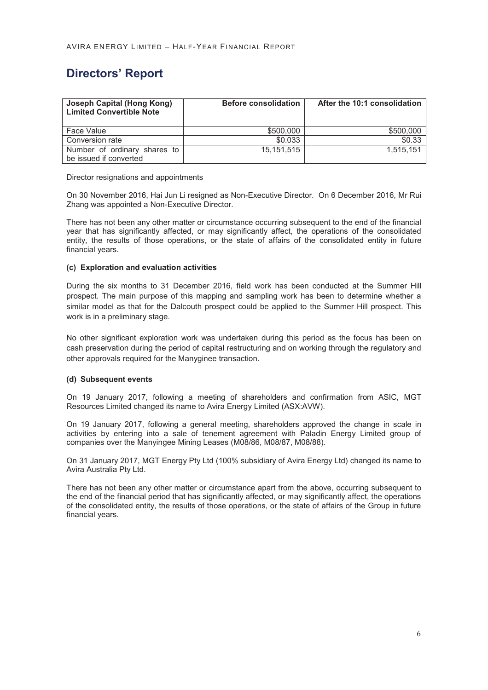| <b>Joseph Capital (Hong Kong)</b><br><b>Limited Convertible Note</b> | <b>Before consolidation</b> | After the 10:1 consolidation |
|----------------------------------------------------------------------|-----------------------------|------------------------------|
| Face Value                                                           | \$500,000                   | \$500,000                    |
| Conversion rate                                                      | \$0.033                     | \$0.33                       |
| Number of ordinary shares to<br>be issued if converted               | 15.151.515                  | 1.515.151                    |

#### Director resignations and appointments

On 30 November 2016, Hai Jun Li resigned as Non-Executive Director. On 6 December 2016, Mr Rui Zhang was appointed a Non-Executive Director.

There has not been any other matter or circumstance occurring subsequent to the end of the financial year that has significantly affected, or may significantly affect, the operations of the consolidated entity, the results of those operations, or the state of affairs of the consolidated entity in future financial years.

#### **(c) Exploration and evaluation activities**

During the six months to 31 December 2016, field work has been conducted at the Summer Hill prospect. The main purpose of this mapping and sampling work has been to determine whether a similar model as that for the Dalcouth prospect could be applied to the Summer Hill prospect. This work is in a preliminary stage.

No other significant exploration work was undertaken during this period as the focus has been on cash preservation during the period of capital restructuring and on working through the regulatory and other approvals required for the Manyginee transaction.

#### **(d) Subsequent events**

On 19 January 2017, following a meeting of shareholders and confirmation from ASIC, MGT Resources Limited changed its name to Avira Energy Limited (ASX:AVW).

On 19 January 2017, following a general meeting, shareholders approved the change in scale in activities by entering into a sale of tenement agreement with Paladin Energy Limited group of companies over the Manyingee Mining Leases (M08/86, M08/87, M08/88).

On 31 January 2017, MGT Energy Pty Ltd (100% subsidiary of Avira Energy Ltd) changed its name to Avira Australia Pty Ltd.

There has not been any other matter or circumstance apart from the above, occurring subsequent to the end of the financial period that has significantly affected, or may significantly affect, the operations of the consolidated entity, the results of those operations, or the state of affairs of the Group in future financial years.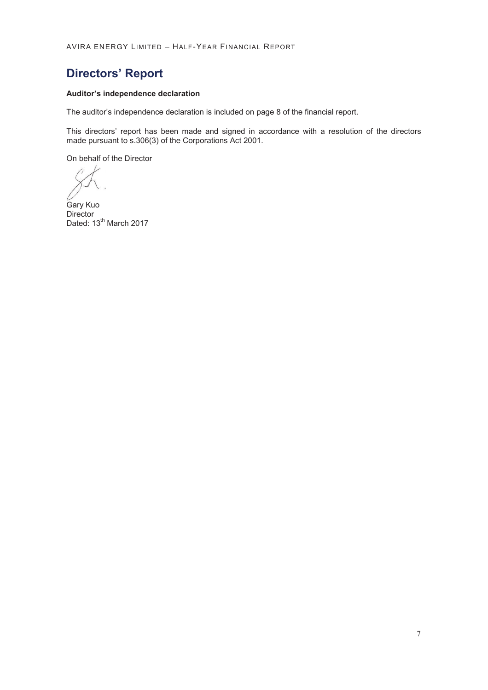# **Directors' Report**

#### **Auditor's independence declaration**

The auditor's independence declaration is included on page 8 of the financial report.

This directors' report has been made and signed in accordance with a resolution of the directors made pursuant to s.306(3) of the Corporations Act 2001.

On behalf of the Director

Gary Kuo **Director** Dated: 13<sup>th</sup> March 2017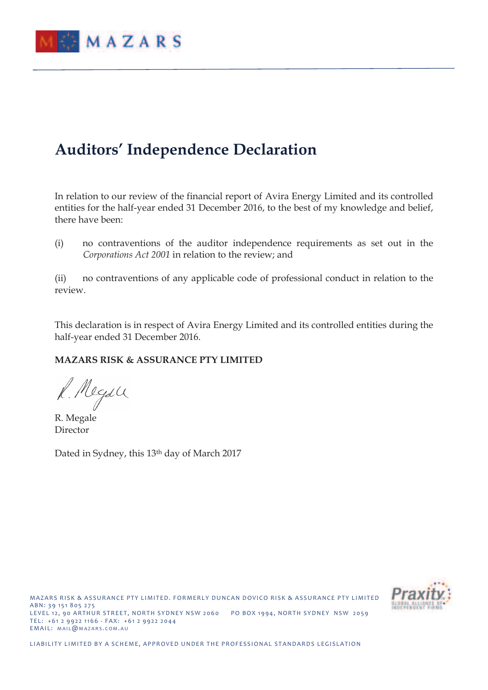

# **Auditors' Independence Declaration**

In relation to our review of the financial report of Avira Energy Limited and its controlled entities for the half-year ended 31 December 2016, to the best of my knowledge and belief, there have been:

(i) no contraventions of the auditor independence requirements as set out in the *Corporations Act 2001* in relation to the review; and

(ii) no contraventions of any applicable code of professional conduct in relation to the review.

This declaration is in respect of Avira Energy Limited and its controlled entities during the half-year ended 31 December 2016.

### **MAZARS RISK & ASSURANCE PTY LIMITED**

R. Megall

R. Megale Director

Dated in Sydney, this 13<sup>th</sup> day of March 2017

MAZARS RISK & ASSURANCE PTY LIMITED. FORMERLY DUNCAN DOVICO RISK & ASSURANCE PTY LIMITED A B N : 39 151 8 0 5 2 7 5 LEVEL 12, 90 ARTHUR STREET, NORTH SYDNEY NSW 2060 PO BOX 1994, NORTH SYDNEY NSW 2059 TEL: +61 2 9922 1166 - FAX: +61 2 9922 2044 EMAIL: MAIL@MAZARS.COM.AU

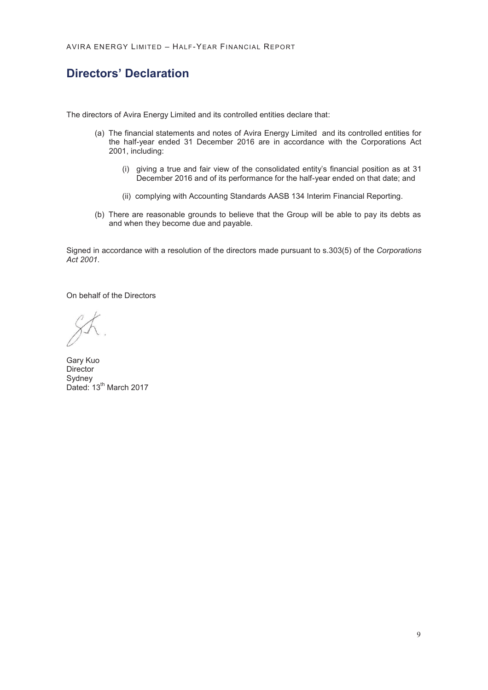# **Directors' Declaration**

The directors of Avira Energy Limited and its controlled entities declare that:

- (a) The financial statements and notes of Avira Energy Limited and its controlled entities for the half-year ended 31 December 2016 are in accordance with the Corporations Act 2001, including:
	- (i) giving a true and fair view of the consolidated entity's financial position as at 31 December 2016 and of its performance for the half-year ended on that date; and
	- (ii) complying with Accounting Standards AASB 134 Interim Financial Reporting.
- (b) There are reasonable grounds to believe that the Group will be able to pay its debts as and when they become due and payable.

Signed in accordance with a resolution of the directors made pursuant to s.303(5) of the *Corporations Act 2001*.

On behalf of the Directors

Gary Kuo **Director** Sydney Dated: 13<sup>th</sup> March 2017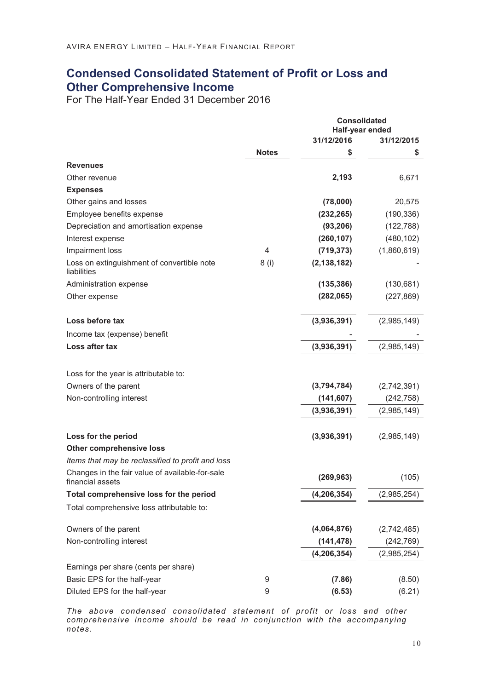### **Condensed Consolidated Statement of Profit or Loss and Other Comprehensive Income**

For The Half-Year Ended 31 December 2016

|                                                                     |              |               | <b>Consolidated</b><br>Half-year ended |  |  |
|---------------------------------------------------------------------|--------------|---------------|----------------------------------------|--|--|
|                                                                     |              | 31/12/2016    | 31/12/2015                             |  |  |
|                                                                     | <b>Notes</b> | \$            | \$                                     |  |  |
| <b>Revenues</b>                                                     |              |               |                                        |  |  |
| Other revenue                                                       |              | 2,193         | 6,671                                  |  |  |
| <b>Expenses</b>                                                     |              |               |                                        |  |  |
| Other gains and losses                                              |              | (78,000)      | 20,575                                 |  |  |
| Employee benefits expense                                           |              | (232, 265)    | (190, 336)                             |  |  |
| Depreciation and amortisation expense                               |              | (93, 206)     | (122, 788)                             |  |  |
| Interest expense                                                    |              | (260, 107)    | (480, 102)                             |  |  |
| Impairment loss                                                     | 4            | (719, 373)    | (1,860,619)                            |  |  |
| Loss on extinguishment of convertible note<br>liabilities           | 8(i)         | (2, 138, 182) |                                        |  |  |
| Administration expense                                              |              | (135, 386)    | (130, 681)                             |  |  |
| Other expense                                                       |              | (282,065)     | (227, 869)                             |  |  |
| Loss before tax                                                     |              | (3,936,391)   | (2,985,149)                            |  |  |
| Income tax (expense) benefit                                        |              |               |                                        |  |  |
| Loss after tax                                                      |              | (3,936,391)   | (2,985,149)                            |  |  |
| Loss for the year is attributable to:                               |              |               |                                        |  |  |
| Owners of the parent                                                |              | (3,794,784)   | (2,742,391)                            |  |  |
| Non-controlling interest                                            |              | (141, 607)    | (242, 758)                             |  |  |
|                                                                     |              | (3,936,391)   | (2,985,149)                            |  |  |
| Loss for the period                                                 |              | (3,936,391)   | (2,985,149)                            |  |  |
| Other comprehensive loss                                            |              |               |                                        |  |  |
| Items that may be reclassified to profit and loss                   |              |               |                                        |  |  |
| Changes in the fair value of available-for-sale<br>financial assets |              | (269, 963)    | (105)                                  |  |  |
| Total comprehensive loss for the period                             |              | (4, 206, 354) | (2,985,254)                            |  |  |
| Total comprehensive loss attributable to:                           |              |               |                                        |  |  |
| Owners of the parent                                                |              | (4,064,876)   | (2,742,485)                            |  |  |
| Non-controlling interest                                            |              | (141, 478)    | (242, 769)                             |  |  |
|                                                                     |              | (4, 206, 354) | (2,985,254)                            |  |  |
| Earnings per share (cents per share)                                |              |               |                                        |  |  |
| Basic EPS for the half-year                                         | 9            | (7.86)        | (8.50)                                 |  |  |
| Diluted EPS for the half-year                                       | 9            | (6.53)        | (6.21)                                 |  |  |

*The above condensed consolidated statement of profit or loss and other comprehensive income should be read in conjunction with the accompanying notes.*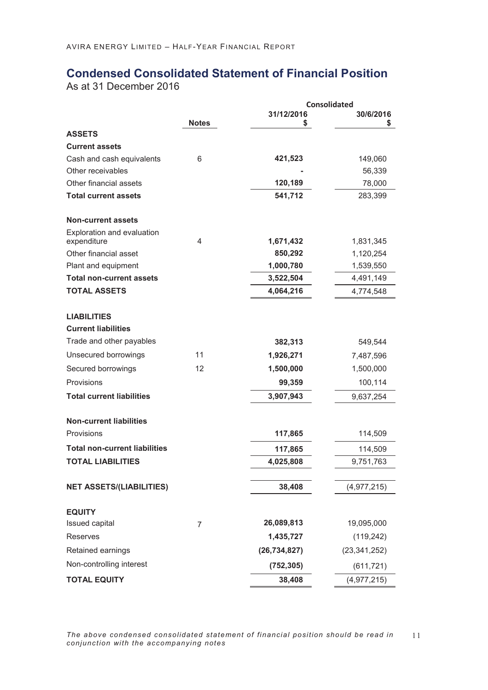# **Condensed Consolidated Statement of Financial Position**

As at 31 December 2016

|                                                  |              |                  | <b>Consolidated</b> |
|--------------------------------------------------|--------------|------------------|---------------------|
|                                                  | <b>Notes</b> | 31/12/2016<br>\$ | 30/6/2016<br>\$     |
| <b>ASSETS</b>                                    |              |                  |                     |
| <b>Current assets</b>                            |              |                  |                     |
| Cash and cash equivalents                        | 6            | 421,523          | 149,060             |
| Other receivables                                |              |                  | 56,339              |
| Other financial assets                           |              | 120,189          | 78,000              |
| <b>Total current assets</b>                      |              | 541,712          | 283,399             |
| <b>Non-current assets</b>                        |              |                  |                     |
| Exploration and evaluation<br>expenditure        | 4            | 1,671,432        | 1,831,345           |
| Other financial asset                            |              | 850,292          | 1,120,254           |
| Plant and equipment                              |              | 1,000,780        | 1,539,550           |
| <b>Total non-current assets</b>                  |              | 3,522,504        | 4,491,149           |
| <b>TOTAL ASSETS</b>                              |              | 4,064,216        | 4,774,548           |
| <b>LIABILITIES</b><br><b>Current liabilities</b> |              |                  |                     |
|                                                  |              |                  |                     |
| Trade and other payables                         |              | 382,313          | 549,544             |
| Unsecured borrowings                             | 11           | 1,926,271        | 7,487,596           |
| Secured borrowings                               | 12           | 1,500,000        | 1,500,000           |
| Provisions                                       |              | 99,359           | 100,114             |
| <b>Total current liabilities</b>                 |              | 3,907,943        | 9,637,254           |
| <b>Non-current liabilities</b>                   |              |                  |                     |
| Provisions                                       |              | 117,865          | 114,509             |
| <b>Total non-current liabilities</b>             |              | 117,865          | 114,509             |
| <b>TOTAL LIABILITIES</b>                         |              | 4,025,808        | 9,751,763           |
|                                                  |              |                  |                     |
| <b>NET ASSETS/(LIABILITIES)</b>                  |              | 38,408           | (4,977,215)         |
| <b>EQUITY</b><br>Issued capital                  | 7            | 26,089,813       | 19,095,000          |
| <b>Reserves</b>                                  |              | 1,435,727        | (119, 242)          |
| Retained earnings                                |              | (26, 734, 827)   | (23, 341, 252)      |
| Non-controlling interest                         |              | (752, 305)       | (611, 721)          |
| <b>TOTAL EQUITY</b>                              |              | 38,408           | (4,977,215)         |

*The above condensed consolidated statement of financial position should be read in*  11 *conjunction with the accompanying notes*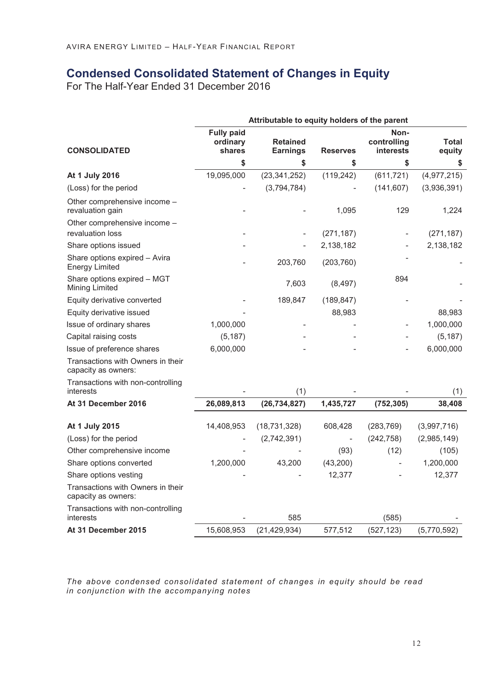# **Condensed Consolidated Statement of Changes in Equity**

For The Half-Year Ended 31 December 2016

|                                                          | Attributable to equity holders of the parent |                                    |                 |                                         |                 |
|----------------------------------------------------------|----------------------------------------------|------------------------------------|-----------------|-----------------------------------------|-----------------|
| <b>CONSOLIDATED</b>                                      | <b>Fully paid</b><br>ordinary<br>shares      | <b>Retained</b><br><b>Earnings</b> | <b>Reserves</b> | Non-<br>controlling<br><b>interests</b> | Total<br>equity |
|                                                          | \$                                           | \$                                 | \$              | \$                                      | \$              |
| At 1 July 2016                                           | 19,095,000                                   | (23, 341, 252)                     | (119, 242)      | (611, 721)                              | (4,977,215)     |
| (Loss) for the period                                    |                                              | (3,794,784)                        |                 | (141, 607)                              | (3,936,391)     |
| Other comprehensive income -<br>revaluation gain         |                                              |                                    | 1,095           | 129                                     | 1,224           |
| Other comprehensive income -                             |                                              |                                    |                 |                                         |                 |
| revaluation loss                                         |                                              |                                    | (271, 187)      |                                         | (271, 187)      |
| Share options issued                                     |                                              |                                    | 2,138,182       |                                         | 2,138,182       |
| Share options expired - Avira<br><b>Energy Limited</b>   |                                              | 203,760                            | (203, 760)      |                                         |                 |
| Share options expired - MGT<br>Mining Limited            |                                              | 7,603                              | (8, 497)        | 894                                     |                 |
| Equity derivative converted                              |                                              | 189,847                            | (189, 847)      |                                         |                 |
| Equity derivative issued                                 |                                              |                                    | 88,983          |                                         | 88,983          |
| Issue of ordinary shares                                 | 1,000,000                                    |                                    |                 |                                         | 1,000,000       |
| Capital raising costs                                    | (5, 187)                                     |                                    |                 |                                         | (5, 187)        |
| Issue of preference shares                               | 6,000,000                                    |                                    |                 |                                         | 6,000,000       |
| Transactions with Owners in their<br>capacity as owners: |                                              |                                    |                 |                                         |                 |
| Transactions with non-controlling<br>interests           |                                              | (1)                                |                 |                                         | (1)             |
| At 31 December 2016                                      | 26,089,813                                   | (26, 734, 827)                     | 1,435,727       | (752, 305)                              | 38,408          |
| At 1 July 2015                                           | 14,408,953                                   | (18, 731, 328)                     | 608,428         | (283, 769)                              | (3,997,716)     |
| (Loss) for the period                                    |                                              | (2,742,391)                        |                 | (242, 758)                              | (2,985,149)     |
| Other comprehensive income                               |                                              |                                    | (93)            | (12)                                    | (105)           |
| Share options converted                                  | 1,200,000                                    | 43,200                             | (43, 200)       |                                         | 1,200,000       |
| Share options vesting                                    |                                              |                                    | 12,377          |                                         | 12,377          |
| Transactions with Owners in their<br>capacity as owners: |                                              |                                    |                 |                                         |                 |
| Transactions with non-controlling<br>interests           |                                              | 585                                |                 | (585)                                   |                 |
| At 31 December 2015                                      | 15,608,953                                   | (21, 429, 934)                     | 577,512         | (527, 123)                              | (5,770,592)     |

*The above condensed consolidated statement of changes in equity should be read in conjunction with the accompanying notes*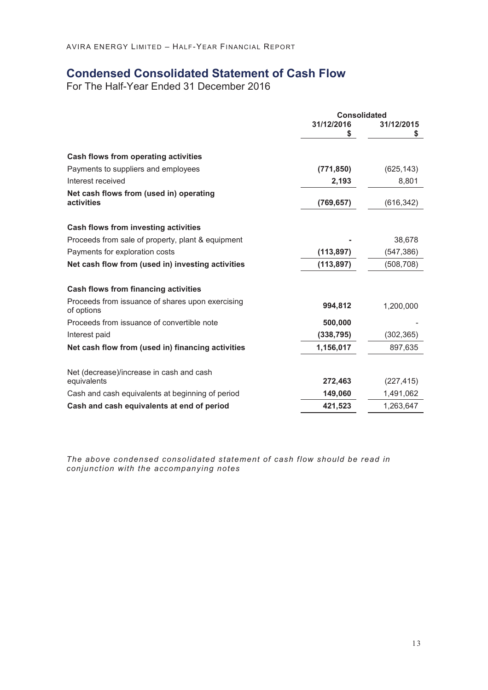## **Condensed Consolidated Statement of Cash Flow**

For The Half-Year Ended 31 December 2016

|                                                                | <b>Consolidated</b> |            |
|----------------------------------------------------------------|---------------------|------------|
|                                                                | 31/12/2016          | 31/12/2015 |
|                                                                | \$                  | \$         |
| Cash flows from operating activities                           |                     |            |
| Payments to suppliers and employees                            | (771, 850)          | (625, 143) |
| Interest received                                              | 2,193               | 8,801      |
| Net cash flows from (used in) operating<br>activities          | (769, 657)          | (616, 342) |
| Cash flows from investing activities                           |                     |            |
| Proceeds from sale of property, plant & equipment              |                     | 38,678     |
| Payments for exploration costs                                 | (113, 897)          | (547, 386) |
| Net cash flow from (used in) investing activities              | (113, 897)          | (508, 708) |
| Cash flows from financing activities                           |                     |            |
| Proceeds from issuance of shares upon exercising<br>of options | 994,812             | 1,200,000  |
| Proceeds from issuance of convertible note                     | 500,000             |            |
| Interest paid                                                  | (338, 795)          | (302, 365) |
| Net cash flow from (used in) financing activities              | 1,156,017           | 897,635    |
| Net (decrease)/increase in cash and cash                       |                     |            |
| equivalents                                                    | 272,463             | (227, 415) |
| Cash and cash equivalents at beginning of period               | 149,060             | 1,491,062  |
| Cash and cash equivalents at end of period                     | 421,523             | 1,263,647  |

*The above condensed consolidated statement of cash flow should be read in conjunction with the accompanying notes*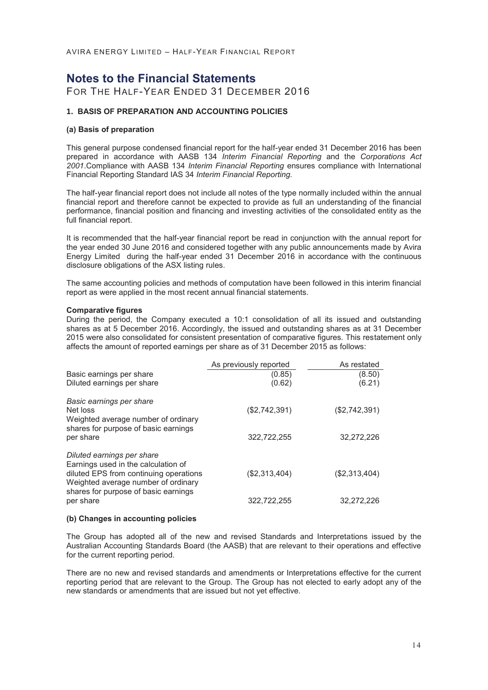### **Notes to the Financial Statements**

FOR THE HALF-YEAR ENDED 31 DECEMBER 2016

#### **1. BASIS OF PREPARATION AND ACCOUNTING POLICIES**

#### **(a) Basis of preparation**

This general purpose condensed financial report for the half-year ended 31 December 2016 has been prepared in accordance with AASB 134 *Interim Financial Reporting* and the *Corporations Act 2001*.Compliance with AASB 134 *Interim Financial Reporting* ensures compliance with International Financial Reporting Standard IAS 34 *Interim Financial Reporting.*

The half-year financial report does not include all notes of the type normally included within the annual financial report and therefore cannot be expected to provide as full an understanding of the financial performance, financial position and financing and investing activities of the consolidated entity as the full financial report.

It is recommended that the half-year financial report be read in conjunction with the annual report for the year ended 30 June 2016 and considered together with any public announcements made by Avira Energy Limited during the half-year ended 31 December 2016 in accordance with the continuous disclosure obligations of the ASX listing rules.

The same accounting policies and methods of computation have been followed in this interim financial report as were applied in the most recent annual financial statements.

#### **Comparative figures**

During the period, the Company executed a 10:1 consolidation of all its issued and outstanding shares as at 5 December 2016. Accordingly, the issued and outstanding shares as at 31 December 2015 were also consolidated for consistent presentation of comparative figures. This restatement only affects the amount of reported earnings per share as of 31 December 2015 as follows:

|                                                                                                                                                                                            | As previously reported | As restated                 |
|--------------------------------------------------------------------------------------------------------------------------------------------------------------------------------------------|------------------------|-----------------------------|
| Basic earnings per share                                                                                                                                                                   | (0.85)                 | (8.50)                      |
| Diluted earnings per share                                                                                                                                                                 | (0.62)                 | (6.21)                      |
| Basic earnings per share<br>Net loss<br>Weighted average number of ordinary<br>shares for purpose of basic earnings                                                                        | (\$2,742,391)          | (\$2,742,391)<br>32,272,226 |
| per share                                                                                                                                                                                  | 322,722,255            |                             |
| Diluted earnings per share<br>Earnings used in the calculation of<br>diluted EPS from continuing operations<br>Weighted average number of ordinary<br>shares for purpose of basic earnings | (\$2,313,404)          | (\$2,313,404)               |
| per share                                                                                                                                                                                  | 322,722,255            | 32.272.226                  |

#### **(b) Changes in accounting policies**

The Group has adopted all of the new and revised Standards and Interpretations issued by the Australian Accounting Standards Board (the AASB) that are relevant to their operations and effective for the current reporting period.

There are no new and revised standards and amendments or Interpretations effective for the current reporting period that are relevant to the Group. The Group has not elected to early adopt any of the new standards or amendments that are issued but not yet effective.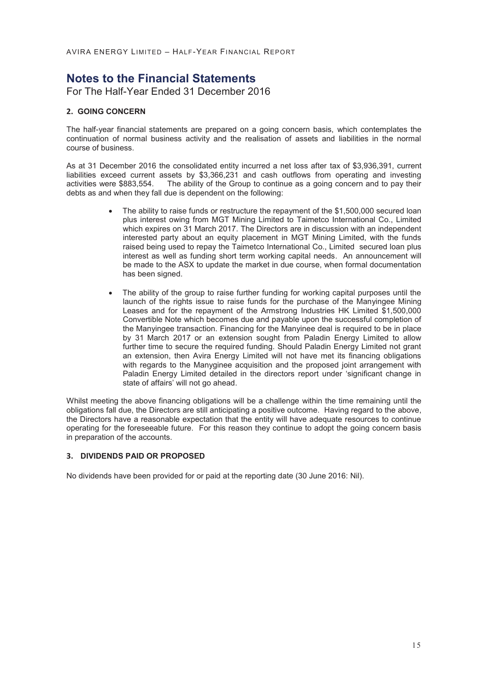## **Notes to the Financial Statements**

For The Half-Year Ended 31 December 2016

#### **2. GOING CONCERN**

The half-year financial statements are prepared on a going concern basis, which contemplates the continuation of normal business activity and the realisation of assets and liabilities in the normal course of business.

As at 31 December 2016 the consolidated entity incurred a net loss after tax of \$3,936,391, current liabilities exceed current assets by \$3,366,231 and cash outflows from operating and investing activities were \$883,554. The ability of the Group to continue as a going concern and to pay their debts as and when they fall due is dependent on the following:

- The ability to raise funds or restructure the repayment of the \$1,500,000 secured loan plus interest owing from MGT Mining Limited to Taimetco International Co., Limited which expires on 31 March 2017. The Directors are in discussion with an independent interested party about an equity placement in MGT Mining Limited, with the funds raised being used to repay the Taimetco International Co., Limited secured loan plus interest as well as funding short term working capital needs. An announcement will be made to the ASX to update the market in due course, when formal documentation has been signed.
- The ability of the group to raise further funding for working capital purposes until the launch of the rights issue to raise funds for the purchase of the Manyingee Mining Leases and for the repayment of the Armstrong Industries HK Limited \$1,500,000 Convertible Note which becomes due and payable upon the successful completion of the Manyingee transaction. Financing for the Manyinee deal is required to be in place by 31 March 2017 or an extension sought from Paladin Energy Limited to allow further time to secure the required funding. Should Paladin Energy Limited not grant an extension, then Avira Energy Limited will not have met its financing obligations with regards to the Manyginee acquisition and the proposed joint arrangement with Paladin Energy Limited detailed in the directors report under 'significant change in state of affairs' will not go ahead.

Whilst meeting the above financing obligations will be a challenge within the time remaining until the obligations fall due, the Directors are still anticipating a positive outcome. Having regard to the above, the Directors have a reasonable expectation that the entity will have adequate resources to continue operating for the foreseeable future. For this reason they continue to adopt the going concern basis in preparation of the accounts.

#### **3. DIVIDENDS PAID OR PROPOSED**

No dividends have been provided for or paid at the reporting date (30 June 2016: Nil).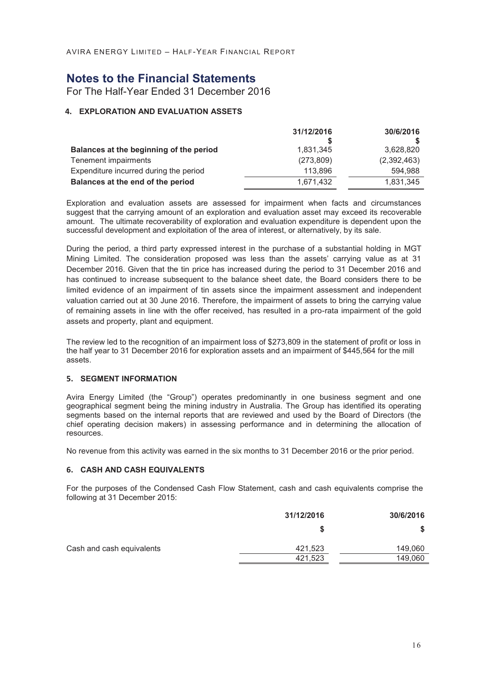## **Notes to the Financial Statements**

For The Half-Year Ended 31 December 2016

#### **4. EXPLORATION AND EVALUATION ASSETS**

|                                         | 31/12/2016 | 30/6/2016   |
|-----------------------------------------|------------|-------------|
|                                         |            |             |
| Balances at the beginning of the period | 1,831,345  | 3,628,820   |
| Tenement impairments                    | (273, 809) | (2,392,463) |
| Expenditure incurred during the period  | 113.896    | 594.988     |
| Balances at the end of the period       | 1.671.432  | 1.831.345   |

Exploration and evaluation assets are assessed for impairment when facts and circumstances suggest that the carrying amount of an exploration and evaluation asset may exceed its recoverable amount. The ultimate recoverability of exploration and evaluation expenditure is dependent upon the successful development and exploitation of the area of interest, or alternatively, by its sale.

During the period, a third party expressed interest in the purchase of a substantial holding in MGT Mining Limited. The consideration proposed was less than the assets' carrying value as at 31 December 2016. Given that the tin price has increased during the period to 31 December 2016 and has continued to increase subsequent to the balance sheet date, the Board considers there to be limited evidence of an impairment of tin assets since the impairment assessment and independent valuation carried out at 30 June 2016. Therefore, the impairment of assets to bring the carrying value of remaining assets in line with the offer received, has resulted in a pro-rata impairment of the gold assets and property, plant and equipment.

The review led to the recognition of an impairment loss of \$273,809 in the statement of profit or loss in the half year to 31 December 2016 for exploration assets and an impairment of \$445,564 for the mill assets.

#### **5. SEGMENT INFORMATION**

Avira Energy Limited (the "Group") operates predominantly in one business segment and one geographical segment being the mining industry in Australia. The Group has identified its operating segments based on the internal reports that are reviewed and used by the Board of Directors (the chief operating decision makers) in assessing performance and in determining the allocation of resources.

No revenue from this activity was earned in the six months to 31 December 2016 or the prior period.

#### **6. CASH AND CASH EQUIVALENTS**

For the purposes of the Condensed Cash Flow Statement, cash and cash equivalents comprise the following at 31 December 2015:

|                           | 31/12/2016 | 30/6/2016 |
|---------------------------|------------|-----------|
|                           |            |           |
| Cash and cash equivalents | 421,523    | 149,060   |
|                           | 421,523    | 149,060   |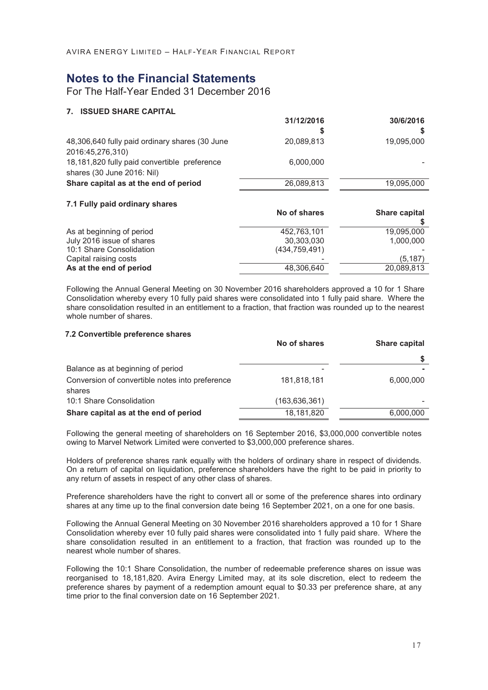### **Notes to the Financial Statements**

For The Half-Year Ended 31 December 2016

#### **7. ISSUED SHARE CAPITAL**

|                                                                            | 31/12/2016      | 30/6/2016                 |
|----------------------------------------------------------------------------|-----------------|---------------------------|
|                                                                            | S               | S                         |
| 48,306,640 fully paid ordinary shares (30 June<br>2016:45,276,310)         | 20,089,813      | 19,095,000                |
| 18,181,820 fully paid convertible preference<br>shares (30 June 2016: Nil) | 6,000,000       |                           |
| Share capital as at the end of period                                      | 26,089,813      | 19,095,000                |
| 7.1 Fully paid ordinary shares                                             | No of shares    | <b>Share capital</b><br>æ |
| As at beginning of period                                                  | 452.763.101     | 19.095.000                |
| July 2016 issue of shares                                                  | 30,303,030      | 1.000.000                 |
| 10:1 Share Consolidation                                                   | (434, 759, 491) |                           |
| Capital raising costs                                                      |                 | (5,187)                   |
| As at the end of period                                                    |                 | 20.089.813                |

Following the Annual General Meeting on 30 November 2016 shareholders approved a 10 for 1 Share Consolidation whereby every 10 fully paid shares were consolidated into 1 fully paid share. Where the share consolidation resulted in an entitlement to a fraction, that fraction was rounded up to the nearest whole number of shares.

#### **7.2 Convertible preference shares**

|                                                           | No of shares    | Share capital |
|-----------------------------------------------------------|-----------------|---------------|
|                                                           |                 |               |
| Balance as at beginning of period                         |                 |               |
| Conversion of convertible notes into preference<br>shares | 181,818,181     | 6,000,000     |
| 10:1 Share Consolidation                                  | (163, 636, 361) |               |
| Share capital as at the end of period                     | 18,181,820      | 6,000,000     |

Following the general meeting of shareholders on 16 September 2016, \$3,000,000 convertible notes owing to Marvel Network Limited were converted to \$3,000,000 preference shares.

Holders of preference shares rank equally with the holders of ordinary share in respect of dividends. On a return of capital on liquidation, preference shareholders have the right to be paid in priority to any return of assets in respect of any other class of shares.

Preference shareholders have the right to convert all or some of the preference shares into ordinary shares at any time up to the final conversion date being 16 September 2021, on a one for one basis.

Following the Annual General Meeting on 30 November 2016 shareholders approved a 10 for 1 Share Consolidation whereby ever 10 fully paid shares were consolidated into 1 fully paid share. Where the share consolidation resulted in an entitlement to a fraction, that fraction was rounded up to the nearest whole number of shares.

Following the 10:1 Share Consolidation, the number of redeemable preference shares on issue was reorganised to 18,181,820. Avira Energy Limited may, at its sole discretion, elect to redeem the preference shares by payment of a redemption amount equal to \$0.33 per preference share, at any time prior to the final conversion date on 16 September 2021.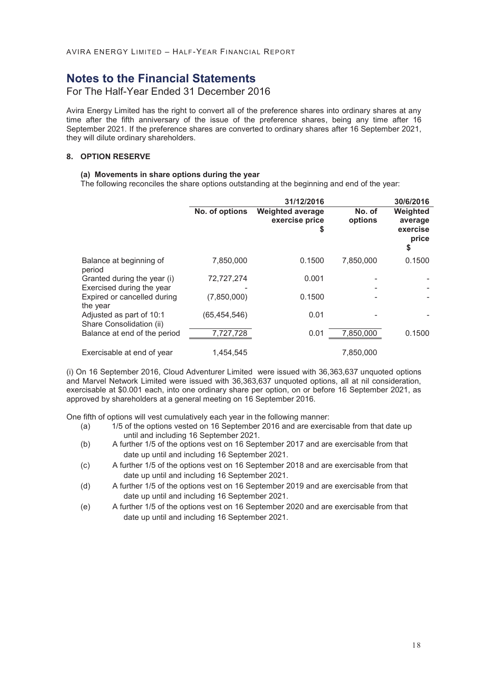### **Notes to the Financial Statements**

#### For The Half-Year Ended 31 December 2016

Avira Energy Limited has the right to convert all of the preference shares into ordinary shares at any time after the fifth anniversary of the issue of the preference shares, being any time after 16 September 2021. If the preference shares are converted to ordinary shares after 16 September 2021, they will dilute ordinary shareholders.

#### **8. OPTION RESERVE**

#### **(a) Movements in share options during the year**

The following reconciles the share options outstanding at the beginning and end of the year:

|                                                          |                | 31/12/2016                                      |                   | 30/6/2016                                      |
|----------------------------------------------------------|----------------|-------------------------------------------------|-------------------|------------------------------------------------|
|                                                          | No. of options | <b>Weighted average</b><br>exercise price<br>\$ | No. of<br>options | Weighted<br>average<br>exercise<br>price<br>\$ |
| Balance at beginning of<br>period                        | 7,850,000      | 0.1500                                          | 7,850,000         | 0.1500                                         |
| Granted during the year (i)<br>Exercised during the year | 72,727,274     | 0.001                                           |                   |                                                |
| Expired or cancelled during<br>the year                  | (7,850,000)    | 0.1500                                          |                   |                                                |
| Adjusted as part of 10:1<br>Share Consolidation (ii)     | (65, 454, 546) | 0.01                                            |                   |                                                |
| Balance at end of the period                             | 7,727,728      | 0.01                                            | 7,850,000         | 0.1500                                         |
| Exercisable at end of year                               | 1,454,545      |                                                 | 7,850,000         |                                                |

(i) On 16 September 2016, Cloud Adventurer Limited were issued with 36,363,637 unquoted options and Marvel Network Limited were issued with 36,363,637 unquoted options, all at nil consideration, exercisable at \$0.001 each, into one ordinary share per option, on or before 16 September 2021, as approved by shareholders at a general meeting on 16 September 2016.

One fifth of options will vest cumulatively each year in the following manner:

- (a) 1/5 of the options vested on 16 September 2016 and are exercisable from that date up until and including 16 September 2021.
- (b) A further 1/5 of the options vest on 16 September 2017 and are exercisable from that date up until and including 16 September 2021.
- (c) A further 1/5 of the options vest on 16 September 2018 and are exercisable from that date up until and including 16 September 2021.
- (d) A further 1/5 of the options vest on 16 September 2019 and are exercisable from that date up until and including 16 September 2021.
- (e) A further 1/5 of the options vest on 16 September 2020 and are exercisable from that date up until and including 16 September 2021.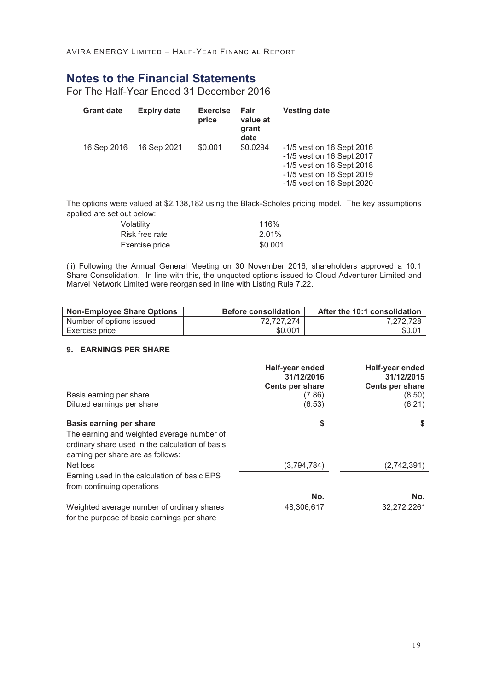# **Notes to the Financial Statements**

For The Half-Year Ended 31 December 2016

| <b>Grant date</b> | <b>Expiry date</b> | <b>Exercise</b><br>price | Fair<br>value at<br>grant<br>date | <b>Vesting date</b>       |
|-------------------|--------------------|--------------------------|-----------------------------------|---------------------------|
| 16 Sep 2016       | 16 Sep 2021        | \$0.001                  | \$0.0294                          | -1/5 yest on 16 Sept 2016 |
|                   |                    |                          |                                   | -1/5 vest on 16 Sept 2017 |
|                   |                    |                          |                                   | -1/5 vest on 16 Sept 2018 |
|                   |                    |                          |                                   | -1/5 vest on 16 Sept 2019 |
|                   |                    |                          |                                   | -1/5 vest on 16 Sept 2020 |

The options were valued at \$2,138,182 using the Black-Scholes pricing model. The key assumptions applied are set out below:

| Volatility     | 116%    |
|----------------|---------|
| Risk free rate | 2.01%   |
| Exercise price | \$0.001 |

(ii) Following the Annual General Meeting on 30 November 2016, shareholders approved a 10:1 Share Consolidation. In line with this, the unquoted options issued to Cloud Adventurer Limited and Marvel Network Limited were reorganised in line with Listing Rule 7.22.

| <b>Non-Employee Share Options</b> | <b>Before consolidation</b> | After the 10:1 consolidation |
|-----------------------------------|-----------------------------|------------------------------|
| Number of options issued          | 72.727.274                  | 7.272.728                    |
| Exercise price                    | \$0.001                     | \$0.01                       |

#### **9. EARNINGS PER SHARE**

|                                                 | Half-year ended<br>31/12/2016 | Half-year ended<br>31/12/2015 |
|-------------------------------------------------|-------------------------------|-------------------------------|
|                                                 | <b>Cents per share</b>        | Cents per share               |
| Basis earning per share                         | (7.86)                        | (8.50)                        |
| Diluted earnings per share                      | (6.53)                        | (6.21)                        |
| <b>Basis earning per share</b>                  | \$                            | \$                            |
| The earning and weighted average number of      |                               |                               |
| ordinary share used in the calculation of basis |                               |                               |
| earning per share are as follows:               |                               |                               |
| Net loss                                        | (3,794,784)                   | (2,742,391)                   |
| Earning used in the calculation of basic EPS    |                               |                               |
| from continuing operations                      |                               |                               |
|                                                 | No.                           | No.                           |
| Weighted average number of ordinary shares      | 48,306,617                    | 32,272,226*                   |
| for the purpose of basic earnings per share     |                               |                               |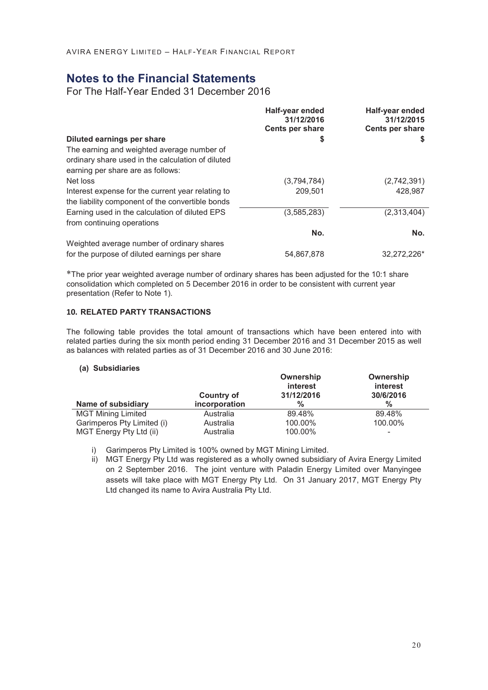### **Notes to the Financial Statements**

For The Half-Year Ended 31 December 2016

|                                                                              | Half-year ended<br>31/12/2016<br>Cents per share | Half-year ended<br>31/12/2015<br>Cents per share |
|------------------------------------------------------------------------------|--------------------------------------------------|--------------------------------------------------|
| Diluted earnings per share                                                   | S                                                | \$                                               |
| The earning and weighted average number of                                   |                                                  |                                                  |
| ordinary share used in the calculation of diluted                            |                                                  |                                                  |
| earning per share are as follows:                                            |                                                  |                                                  |
| Net loss                                                                     | (3,794,784)                                      | (2,742,391)                                      |
| Interest expense for the current year relating to                            | 209,501                                          | 428,987                                          |
| the liability component of the convertible bonds                             |                                                  |                                                  |
| Earning used in the calculation of diluted EPS<br>from continuing operations | (3,585,283)                                      | (2,313,404)                                      |
|                                                                              | No.                                              | No.                                              |
| Weighted average number of ordinary shares                                   |                                                  |                                                  |
| for the purpose of diluted earnings per share                                | 54.867.878                                       | 32,272,226*                                      |

\*The prior year weighted average number of ordinary shares has been adjusted for the 10:1 share consolidation which completed on 5 December 2016 in order to be consistent with current year presentation (Refer to Note 1).

#### **10. RELATED PARTY TRANSACTIONS**

The following table provides the total amount of transactions which have been entered into with related parties during the six month period ending 31 December 2016 and 31 December 2015 as well as balances with related parties as of 31 December 2016 and 30 June 2016:

#### **(a) Subsidiaries**

|                            | Country of    | Ownership<br>interest<br>31/12/2016 | Ownership<br>interest<br>30/6/2016 |
|----------------------------|---------------|-------------------------------------|------------------------------------|
| Name of subsidiary         | incorporation | %                                   | $\frac{0}{0}$                      |
| <b>MGT Mining Limited</b>  | Australia     | 89.48%                              | 89.48%                             |
| Garimperos Pty Limited (i) | Australia     | 100.00%                             | 100.00%                            |
| MGT Energy Pty Ltd (ii)    | Australia     | 100.00%                             | -                                  |

i) Garimperos Pty Limited is 100% owned by MGT Mining Limited.

ii) MGT Energy Pty Ltd was registered as a wholly owned subsidiary of Avira Energy Limited on 2 September 2016. The joint venture with Paladin Energy Limited over Manyingee assets will take place with MGT Energy Pty Ltd. On 31 January 2017, MGT Energy Pty Ltd changed its name to Avira Australia Pty Ltd.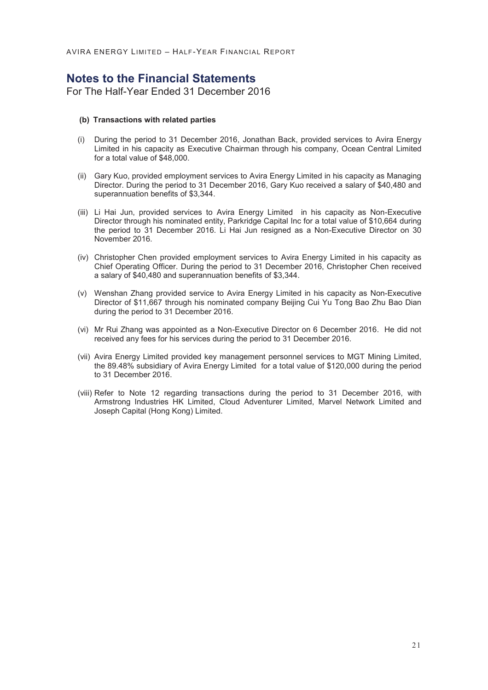### **Notes to the Financial Statements**

For The Half-Year Ended 31 December 2016

#### **(b) Transactions with related parties**

- (i) During the period to 31 December 2016, Jonathan Back, provided services to Avira Energy Limited in his capacity as Executive Chairman through his company, Ocean Central Limited for a total value of \$48,000.
- (ii) Gary Kuo, provided employment services to Avira Energy Limited in his capacity as Managing Director. During the period to 31 December 2016, Gary Kuo received a salary of \$40,480 and superannuation benefits of \$3,344.
- (iii) Li Hai Jun, provided services to Avira Energy Limited in his capacity as Non-Executive Director through his nominated entity, Parkridge Capital Inc for a total value of \$10,664 during the period to 31 December 2016. Li Hai Jun resigned as a Non-Executive Director on 30 November 2016.
- (iv) Christopher Chen provided employment services to Avira Energy Limited in his capacity as Chief Operating Officer. During the period to 31 December 2016, Christopher Chen received a salary of \$40,480 and superannuation benefits of \$3,344.
- (v) Wenshan Zhang provided service to Avira Energy Limited in his capacity as Non-Executive Director of \$11,667 through his nominated company Beijing Cui Yu Tong Bao Zhu Bao Dian during the period to 31 December 2016.
- (vi) Mr Rui Zhang was appointed as a Non-Executive Director on 6 December 2016. He did not received any fees for his services during the period to 31 December 2016.
- (vii) Avira Energy Limited provided key management personnel services to MGT Mining Limited, the 89.48% subsidiary of Avira Energy Limited for a total value of \$120,000 during the period to 31 December 2016.
- (viii) Refer to Note 12 regarding transactions during the period to 31 December 2016, with Armstrong Industries HK Limited, Cloud Adventurer Limited, Marvel Network Limited and Joseph Capital (Hong Kong) Limited.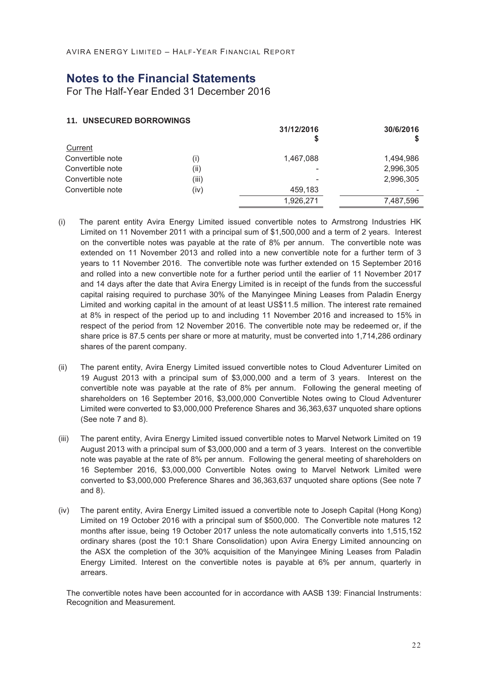### **Notes to the Financial Statements**

For The Half-Year Ended 31 December 2016

#### **11. UNSECURED BORROWINGS**

|                  |       | 31/12/2016 | 30/6/2016 |
|------------------|-------|------------|-----------|
| Current          |       |            |           |
| Convertible note | (i)   | 1,467,088  | 1,494,986 |
| Convertible note | (ii)  |            | 2,996,305 |
| Convertible note | (iii) |            | 2,996,305 |
| Convertible note | (iv)  | 459,183    |           |
|                  |       | 1,926,271  | 7,487,596 |

- (i) The parent entity Avira Energy Limited issued convertible notes to Armstrong Industries HK Limited on 11 November 2011 with a principal sum of \$1,500,000 and a term of 2 years. Interest on the convertible notes was payable at the rate of 8% per annum. The convertible note was extended on 11 November 2013 and rolled into a new convertible note for a further term of 3 years to 11 November 2016. The convertible note was further extended on 15 September 2016 and rolled into a new convertible note for a further period until the earlier of 11 November 2017 and 14 days after the date that Avira Energy Limited is in receipt of the funds from the successful capital raising required to purchase 30% of the Manyingee Mining Leases from Paladin Energy Limited and working capital in the amount of at least US\$11.5 million. The interest rate remained at 8% in respect of the period up to and including 11 November 2016 and increased to 15% in respect of the period from 12 November 2016. The convertible note may be redeemed or, if the share price is 87.5 cents per share or more at maturity, must be converted into 1,714,286 ordinary shares of the parent company.
- (ii) The parent entity, Avira Energy Limited issued convertible notes to Cloud Adventurer Limited on 19 August 2013 with a principal sum of \$3,000,000 and a term of 3 years. Interest on the convertible note was payable at the rate of 8% per annum. Following the general meeting of shareholders on 16 September 2016, \$3,000,000 Convertible Notes owing to Cloud Adventurer Limited were converted to \$3,000,000 Preference Shares and 36,363,637 unquoted share options (See note 7 and 8).
- (iii) The parent entity, Avira Energy Limited issued convertible notes to Marvel Network Limited on 19 August 2013 with a principal sum of \$3,000,000 and a term of 3 years. Interest on the convertible note was payable at the rate of 8% per annum. Following the general meeting of shareholders on 16 September 2016, \$3,000,000 Convertible Notes owing to Marvel Network Limited were converted to \$3,000,000 Preference Shares and 36,363,637 unquoted share options (See note 7 and 8).
- (iv) The parent entity, Avira Energy Limited issued a convertible note to Joseph Capital (Hong Kong) Limited on 19 October 2016 with a principal sum of \$500,000. The Convertible note matures 12 months after issue, being 19 October 2017 unless the note automatically converts into 1,515,152 ordinary shares (post the 10:1 Share Consolidation) upon Avira Energy Limited announcing on the ASX the completion of the 30% acquisition of the Manyingee Mining Leases from Paladin Energy Limited. Interest on the convertible notes is payable at 6% per annum, quarterly in arrears.

The convertible notes have been accounted for in accordance with AASB 139: Financial Instruments: Recognition and Measurement.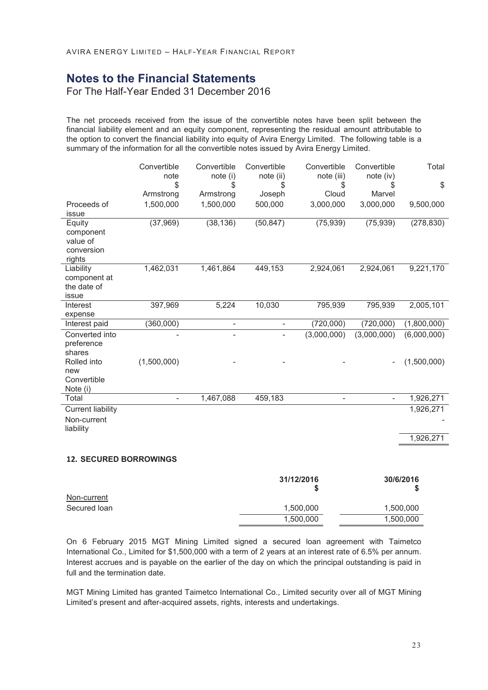### **Notes to the Financial Statements**

For The Half-Year Ended 31 December 2016

The net proceeds received from the issue of the convertible notes have been split between the financial liability element and an equity component, representing the residual amount attributable to the option to convert the financial liability into equity of Avira Energy Limited. The following table is a summary of the information for all the convertible notes issued by Avira Energy Limited.

|                          | Convertible<br>note      | Convertible              | Convertible     | Convertible              | Convertible         | Total       |
|--------------------------|--------------------------|--------------------------|-----------------|--------------------------|---------------------|-------------|
|                          | \$                       | note (i)<br>\$           | note (ii)<br>\$ | note (iii)<br>S          | note (iv)           | \$          |
|                          | Armstrong                | Armstrong                | Joseph          | Cloud                    | Marvel              |             |
| Proceeds of              | 1,500,000                | 1,500,000                | 500,000         | 3,000,000                | 3,000,000           | 9,500,000   |
| issue                    |                          |                          |                 |                          |                     |             |
| Equity                   | (37, 969)                | (38, 136)                | (50, 847)       | (75, 939)                | (75, 939)           | (278, 830)  |
| component                |                          |                          |                 |                          |                     |             |
| value of                 |                          |                          |                 |                          |                     |             |
| conversion               |                          |                          |                 |                          |                     |             |
| rights                   |                          |                          |                 |                          |                     |             |
| Liability                | 1,462,031                | 1,461,864                | 449,153         | 2,924,061                | 2,924,061           | 9,221,170   |
| component at             |                          |                          |                 |                          |                     |             |
| the date of              |                          |                          |                 |                          |                     |             |
| issue                    |                          |                          |                 |                          |                     |             |
| Interest                 | 397,969                  | 5,224                    | 10,030          | 795,939                  | 795,939             | 2,005,101   |
| expense                  |                          |                          |                 |                          |                     |             |
| Interest paid            | (360,000)                | $\overline{\phantom{a}}$ | $\bar{}$        | (720,000)                | (720,000)           | (1,800,000) |
| Converted into           |                          |                          |                 | (3,000,000)              | (3,000,000)         | (6,000,000) |
| preference               |                          |                          |                 |                          |                     |             |
| shares                   |                          |                          |                 |                          |                     |             |
| Rolled into              | (1,500,000)              |                          |                 |                          |                     | (1,500,000) |
| new                      |                          |                          |                 |                          |                     |             |
| Convertible              |                          |                          |                 |                          |                     |             |
| Note (i)                 |                          |                          |                 |                          |                     |             |
| Total                    | $\overline{\phantom{a}}$ | 1,467,088                | 459,183         | $\overline{\phantom{m}}$ | $\bar{\phantom{a}}$ | 1,926,271   |
| <b>Current liability</b> |                          |                          |                 |                          |                     | 1,926,271   |
| Non-current              |                          |                          |                 |                          |                     |             |
| liability                |                          |                          |                 |                          |                     |             |
|                          |                          |                          |                 |                          |                     | 1,926,271   |
|                          |                          |                          |                 |                          |                     |             |

#### **12. SECURED BORROWINGS**

|              | 31/12/2016<br>S | 30/6/2016 |
|--------------|-----------------|-----------|
| Non-current  |                 |           |
| Secured loan | 1,500,000       | 1,500,000 |
|              | 1,500,000       | 1,500,000 |

On 6 February 2015 MGT Mining Limited signed a secured loan agreement with Taimetco International Co., Limited for \$1,500,000 with a term of 2 years at an interest rate of 6.5% per annum. Interest accrues and is payable on the earlier of the day on which the principal outstanding is paid in full and the termination date.

MGT Mining Limited has granted Taimetco International Co., Limited security over all of MGT Mining Limited's present and after-acquired assets, rights, interests and undertakings.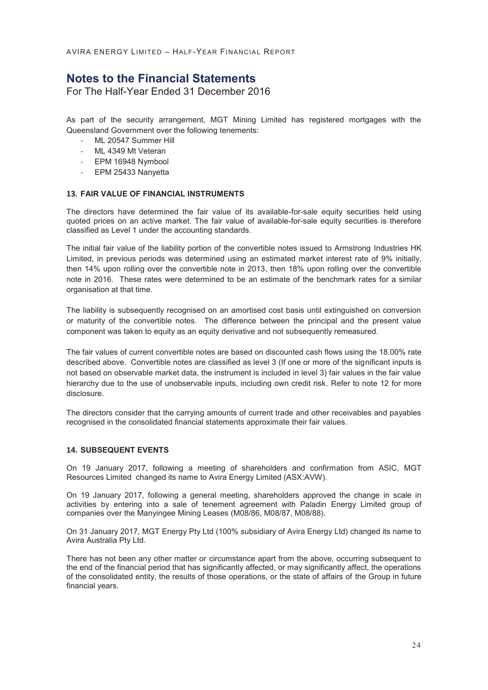### **Notes to the Financial Statements**

For The Half-Year Ended 31 December 2016

As part of the security arrangement, MGT Mining Limited has registered mortgages with the Queensland Government over the following tenements:

- ML 20547 Summer Hill
- ML 4349 Mt Veteran
- EPM 16948 Nymbool
- EPM 25433 Nanyetta

#### **13. FAIR VALUE OF FINANCIAL INSTRUMENTS**

The directors have determined the fair value of its available-for-sale equity securities held using quoted prices on an active market. The fair value of available-for-sale equity securities is therefore classified as Level 1 under the accounting standards.

The initial fair value of the liability portion of the convertible notes issued to Armstrong Industries HK Limited, in previous periods was determined using an estimated market interest rate of 9% initially, then 14% upon rolling over the convertible note in 2013, then 18% upon rolling over the convertible note in 2016. These rates were determined to be an estimate of the benchmark rates for a similar organisation at that time.

The liability is subsequently recognised on an amortised cost basis until extinguished on conversion or maturity of the convertible notes. The difference between the principal and the present value component was taken to equity as an equity derivative and not subsequently remeasured.

The fair values of current convertible notes are based on discounted cash flows using the 18.00% rate described above. Convertible notes are classified as level 3 (If one or more of the significant inputs is not based on observable market data, the instrument is included in level 3) fair values in the fair value hierarchy due to the use of unobservable inputs, including own credit risk. Refer to note 12 for more disclosure.

The directors consider that the carrying amounts of current trade and other receivables and payables recognised in the consolidated financial statements approximate their fair values.

#### **14. SUBSEQUENT EVENTS**

On 19 January 2017, following a meeting of shareholders and confirmation from ASIC, MGT Resources Limited changed its name to Avira Energy Limited (ASX:AVW).

On 19 January 2017, following a general meeting, shareholders approved the change in scale in activities by entering into a sale of tenement agreement with Paladin Energy Limited group of companies over the Manyingee Mining Leases (M08/86, M08/87, M08/88).

On 31 January 2017, MGT Energy Pty Ltd (100% subsidiary of Avira Energy Ltd) changed its name to Avira Australia Pty Ltd.

There has not been any other matter or circumstance apart from the above, occurring subsequent to the end of the financial period that has significantly affected, or may significantly affect, the operations of the consolidated entity, the results of those operations, or the state of affairs of the Group in future financial years.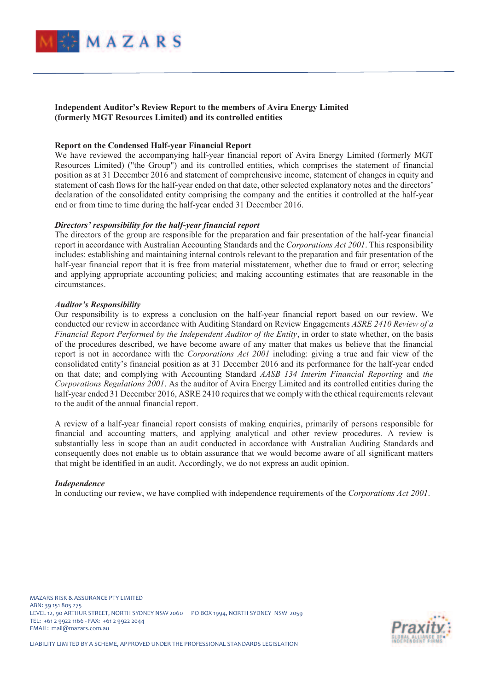

**Independent Auditor's Review Report to the members of Avira Energy Limited (formerly MGT Resources Limited) and its controlled entities** 

#### **Report on the Condensed Half-year Financial Report**

We have reviewed the accompanying half-year financial report of Avira Energy Limited (formerly MGT Resources Limited) ("the Group") and its controlled entities, which comprises the statement of financial position as at 31 December 2016 and statement of comprehensive income, statement of changes in equity and statement of cash flows for the half-year ended on that date, other selected explanatory notes and the directors' declaration of the consolidated entity comprising the company and the entities it controlled at the half-year end or from time to time during the half-year ended 31 December 2016.

#### *Directors' responsibility for the half-year financial report*

The directors of the group are responsible for the preparation and fair presentation of the half-year financial report in accordance with Australian Accounting Standards and the *Corporations Act 2001*. This responsibility includes: establishing and maintaining internal controls relevant to the preparation and fair presentation of the half-year financial report that it is free from material misstatement, whether due to fraud or error; selecting and applying appropriate accounting policies; and making accounting estimates that are reasonable in the circumstances.

#### *Auditor's Responsibility*

Our responsibility is to express a conclusion on the half-year financial report based on our review. We conducted our review in accordance with Auditing Standard on Review Engagements *ASRE 2410 Review of a Financial Report Performed by the Independent Auditor of the Entity*, in order to state whether, on the basis of the procedures described, we have become aware of any matter that makes us believe that the financial report is not in accordance with the *Corporations Act 2001* including: giving a true and fair view of the consolidated entity's financial position as at 31 December 2016 and its performance for the half-year ended on that date; and complying with Accounting Standard *AASB 134 Interim Financial Reporting* and *the Corporations Regulations 2001*. As the auditor of Avira Energy Limited and its controlled entities during the half-year ended 31 December 2016, ASRE 2410 requires that we comply with the ethical requirements relevant to the audit of the annual financial report.

A review of a half-year financial report consists of making enquiries, primarily of persons responsible for financial and accounting matters, and applying analytical and other review procedures. A review is substantially less in scope than an audit conducted in accordance with Australian Auditing Standards and consequently does not enable us to obtain assurance that we would become aware of all significant matters that might be identified in an audit. Accordingly, we do not express an audit opinion.

#### *Independence*

In conducting our review, we have complied with independence requirements of the *Corporations Act 2001*.



LIABILITY LIMITED BY A SCHEME, APPROVED UNDER THE PROFESSIONAL STANDARDS LEGISLATION